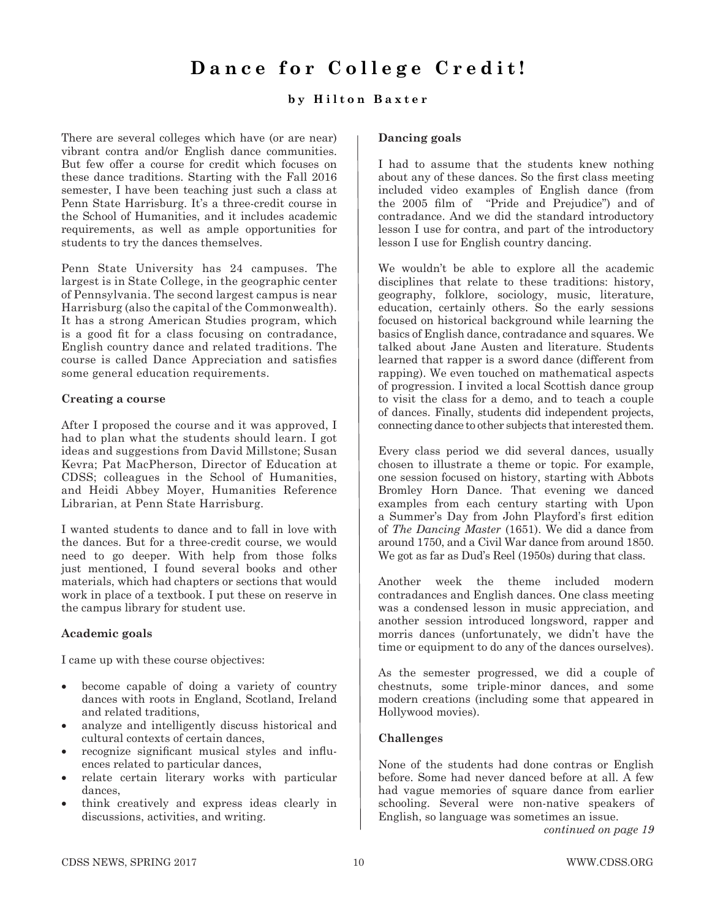# **Dance for College Credit!**

# **by Hilton Baxter**

There are several colleges which have (or are near) vibrant contra and/or English dance communities. But few offer a course for credit which focuses on these dance traditions. Starting with the Fall 2016 semester, I have been teaching just such a class at Penn State Harrisburg. It's a three-credit course in the School of Humanities, and it includes academic requirements, as well as ample opportunities for students to try the dances themselves.

Penn State University has 24 campuses. The largest is in State College, in the geographic center of Pennsylvania. The second largest campus is near Harrisburg (also the capital of the Commonwealth). It has a strong American Studies program, which is a good fit for a class focusing on contradance, English country dance and related traditions. The course is called Dance Appreciation and satisfies some general education requirements.

#### **Creating a course**

After I proposed the course and it was approved, I had to plan what the students should learn. I got ideas and suggestions from David Millstone; Susan Kevra; Pat MacPherson, Director of Education at CDSS; colleagues in the School of Humanities, and Heidi Abbey Moyer, Humanities Reference Librarian, at Penn State Harrisburg.

I wanted students to dance and to fall in love with the dances. But for a three-credit course, we would need to go deeper. With help from those folks just mentioned, I found several books and other materials, which had chapters or sections that would work in place of a textbook. I put these on reserve in the campus library for student use.

# **Academic goals**

I came up with these course objectives:

- become capable of doing a variety of country dances with roots in England, Scotland, Ireland and related traditions,
- analyze and intelligently discuss historical and cultural contexts of certain dances,
- recognize significant musical styles and influences related to particular dances,
- relate certain literary works with particular dances,
- think creatively and express ideas clearly in discussions, activities, and writing.

#### **Dancing goals**

I had to assume that the students knew nothing about any of these dances. So the first class meeting included video examples of English dance (from the 2005 film of "Pride and Prejudice") and of contradance. And we did the standard introductory lesson I use for contra, and part of the introductory lesson I use for English country dancing.

We wouldn't be able to explore all the academic disciplines that relate to these traditions: history, geography, folklore, sociology, music, literature, education, certainly others. So the early sessions focused on historical background while learning the basics of English dance, contradance and squares. We talked about Jane Austen and literature. Students learned that rapper is a sword dance (different from rapping). We even touched on mathematical aspects of progression. I invited a local Scottish dance group to visit the class for a demo, and to teach a couple of dances. Finally, students did independent projects, connecting dance to other subjects that interested them.

Every class period we did several dances, usually chosen to illustrate a theme or topic. For example, one session focused on history, starting with Abbots Bromley Horn Dance. That evening we danced examples from each century starting with Upon a Summer's Day from John Playford's first edition of *The Dancing Master* (1651). We did a dance from around 1750, and a Civil War dance from around 1850. We got as far as Dud's Reel (1950s) during that class.

Another week the theme included modern contradances and English dances. One class meeting was a condensed lesson in music appreciation, and another session introduced longsword, rapper and morris dances (unfortunately, we didn't have the time or equipment to do any of the dances ourselves).

As the semester progressed, we did a couple of chestnuts, some triple-minor dances, and some modern creations (including some that appeared in Hollywood movies).

# **Challenges**

None of the students had done contras or English before. Some had never danced before at all. A few had vague memories of square dance from earlier schooling. Several were non-native speakers of English, so language was sometimes an issue.

*continued on page 19*